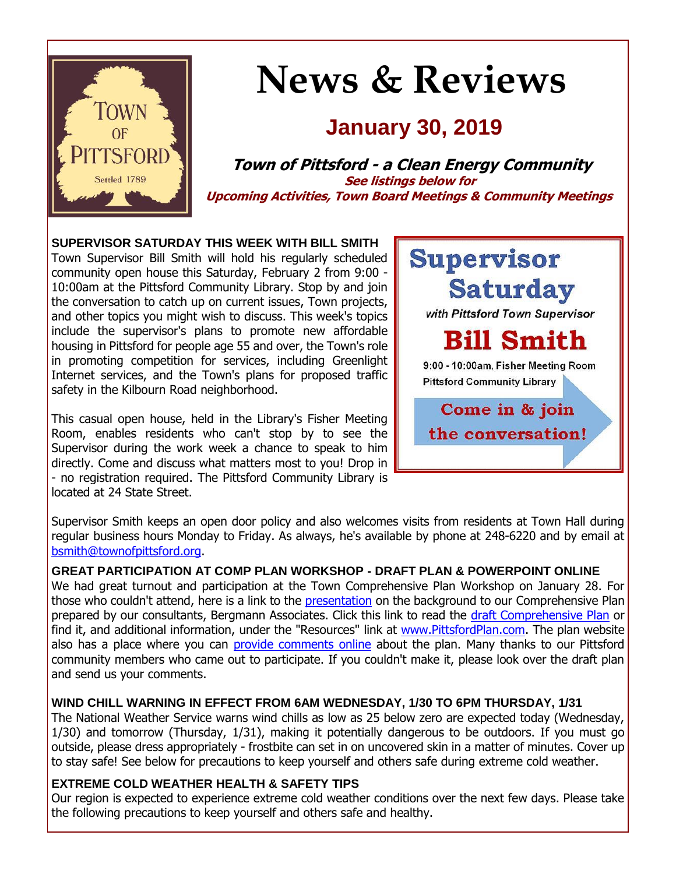

# **News & Reviews**

## **January 30, 2019**

**Town of Pittsford - a Clean Energy Community See listings below for Upcoming Activities, Town Board Meetings & Community Meetings**

#### **SUPERVISOR SATURDAY THIS WEEK WITH BILL SMITH**

Town Supervisor Bill Smith will hold his regularly scheduled community open house this Saturday, February 2 from 9:00 - 10:00am at the Pittsford Community Library. Stop by and join the conversation to catch up on current issues, Town projects, and other topics you might wish to discuss. This week's topics include the supervisor's plans to promote new affordable housing in Pittsford for people age 55 and over, the Town's role in promoting competition for services, including Greenlight Internet services, and the Town's plans for proposed traffic safety in the Kilbourn Road neighborhood.

This casual open house, held in the Library's Fisher Meeting Room, enables residents who can't stop by to see the Supervisor during the work week a chance to speak to him directly. Come and discuss what matters most to you! Drop in - no registration required. The Pittsford Community Library is located at 24 State Street.



Supervisor Smith keeps an open door policy and also welcomes visits from residents at Town Hall during regular business hours Monday to Friday. As always, he's available by phone at 248-6220 and by email at [bsmith@townofpittsford.org.](mailto:bsmith@townofpittsford.org?subject=Supervisor)

#### **GREAT PARTICIPATION AT COMP PLAN WORKSHOP - DRAFT PLAN & POWERPOINT ONLINE**

We had great turnout and participation at the Town Comprehensive Plan Workshop on January 28. For those who couldn't attend, here is a link to the **[presentation](http://r20.rs6.net/tn.jsp?f=001zY6MyU1Pebu63HhS_eoYwLc8JB6F9MHYdKH1nL4U-g5twfiyhy6pHL7szeCZT4b5IUJg8BgOL3Yjx-4E8K50BFmeW6mJ8ExS05R6tm0FwUI-YBvHUigkIKVgbk7ZYCcOoDL83Ww9vmhXH9aRUocuAhe8uv-nlTXkEhbHJDCyotq7U-GwfutW42tafIxf0R5NOwaVifVVhvtTnn1eM76h_izgnuToraDifrnL9n2HEbOQAMQ0x0wKPWmx7t2G5OSfPM3t9VcEurYLGpjUtOvQodFFe-Mq8Tbp8pTzlEu-T7vlctGKdTovac3Uj2kqLi4w5wdXLqDXyXfKCf0mEjZ8ss5_NgfZtbh13rKPsEyVtqsyG83i8dbmxZKk79pFD0YfIIKrQmE93kAiFWQ2iUm4_--Zs8IuqScS&c=uk_8dshUDyJbFG5jUD2Yf1W0qFe4vmmCDDK5hQgnQ72TEIPgJU4MYw==&ch=SE1EsnbNTOE-sysdP3B42qkHjWudvoqov-C5mp69ulw0CqUQ7ozvkg==)** on the background to our Comprehensive Plan prepared by our consultants, Bergmann Associates. Click this link to read the [draft Comprehensive Plan](http://r20.rs6.net/tn.jsp?f=001zY6MyU1Pebu63HhS_eoYwLc8JB6F9MHYdKH1nL4U-g5twfiyhy6pHOfCpPT-rjjDKNFP7aKq-qWBuV8pF-B4wpJpZb6VPjBGZwPcdVk68qt26ww3j8mF-c2cVGP-CILRZcFVNNS6R-rT4asCPN2CE2WlS_e50gCQYVljkL0OvpMT84zgQdKI7YGhRdViPkvlk3nyn4OvBrz4q6gAcdS8hp8jkAsdriAksH8hdk-AUs3wGzw3YFOpTsH9s2CUkgvcFpDvCCNbgNyDnPr3bxbpkOxmu0CCgxVsa_aTDPEV_VXptExDxid4jA56LIl3yV_9-_Bi7xS5fDp_T8f_TPgO2flH53jVFkldaOCgF15AgVRxxXtiTNQ4N94fyoisvvL18MHUAMEwoE4=&c=uk_8dshUDyJbFG5jUD2Yf1W0qFe4vmmCDDK5hQgnQ72TEIPgJU4MYw==&ch=SE1EsnbNTOE-sysdP3B42qkHjWudvoqov-C5mp69ulw0CqUQ7ozvkg==) or find it, and additional information, under the "Resources" link at [www.PittsfordPlan.com.](http://r20.rs6.net/tn.jsp?f=001zY6MyU1Pebu63HhS_eoYwLc8JB6F9MHYdKH1nL4U-g5twfiyhy6pHMKyiUJ1eNmfYH2kLtyA-MkaxgDTA9yhJdi_xqgl2Vobr3kO0u84uWKVn1AweeyEgCG__MBA6Hp0tBkLYeXBwVYdBUfzylrvIFeWEGuG032tJQ_YvJdJqDG9UsSVJE-ylcQhPF4zkJ-yCWiFBAvmNgnbwvykZMFFK16NIhwFNQwXQVkU6EkXd69Euu9OPpe-5fSuP5Ga8viHwJEvP8WrUq9TJoQ3QE2wRrLX08VVvTCL8l7TsNKhkJA=&c=uk_8dshUDyJbFG5jUD2Yf1W0qFe4vmmCDDK5hQgnQ72TEIPgJU4MYw==&ch=SE1EsnbNTOE-sysdP3B42qkHjWudvoqov-C5mp69ulw0CqUQ7ozvkg==) The plan website also has a place where you can [provide comments online](http://r20.rs6.net/tn.jsp?f=001zY6MyU1Pebu63HhS_eoYwLc8JB6F9MHYdKH1nL4U-g5twfiyhy6pHL7szeCZT4b5Fw7SEUEDQxN9QTRgF1inAibePF1_dJzpPK1LSiuMm8hGaN9Rb-Vtj_CXsfyrIDBSJpz4Flpa1lOyQjTPtUDi2n5YYDrMuX_mvCkoCwZrkmNTd1BmIx9Jzo9pa47tQCMzelQIhA_aJbiRbiLrYxxApZBAxN0Gsla-8_nZxRyAKlqJgp358RHQ__dKdLz4RE2fQXDJ_W5CFa_ip2ZEhAMaJoB2knD1CMfMZIl2mp5z6skU2UnLIitG51h9P9lMDDKUl2cUoMmAGEw=&c=uk_8dshUDyJbFG5jUD2Yf1W0qFe4vmmCDDK5hQgnQ72TEIPgJU4MYw==&ch=SE1EsnbNTOE-sysdP3B42qkHjWudvoqov-C5mp69ulw0CqUQ7ozvkg==) about the plan. Many thanks to our Pittsford community members who came out to participate. If you couldn't make it, please look over the draft plan and send us your comments.

#### **WIND CHILL WARNING IN EFFECT FROM 6AM WEDNESDAY, 1/30 TO 6PM THURSDAY, 1/31**

The National Weather Service warns wind chills as low as 25 below zero are expected today (Wednesday, 1/30) and tomorrow (Thursday, 1/31), making it potentially dangerous to be outdoors. If you must go outside, please dress appropriately - frostbite can set in on uncovered skin in a matter of minutes. Cover up to stay safe! See below for precautions to keep yourself and others safe during extreme cold weather.

#### **EXTREME COLD WEATHER HEALTH & SAFETY TIPS**

Our region is expected to experience extreme cold weather conditions over the next few days. Please take the following precautions to keep yourself and others safe and healthy.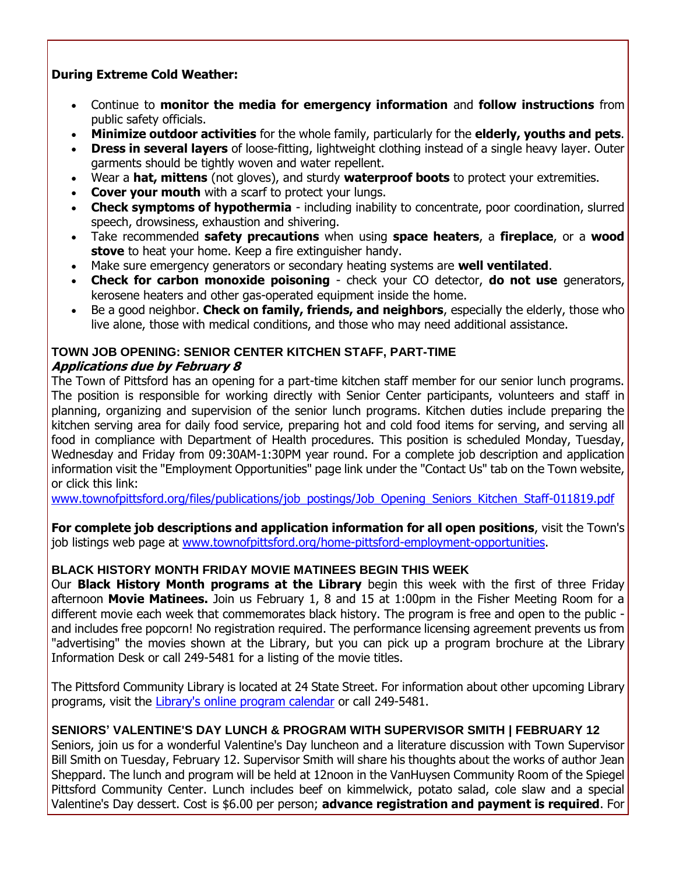#### **During Extreme Cold Weather:**

- Continue to **monitor the media for emergency information** and **follow instructions** from public safety officials.
- **Minimize outdoor activities** for the whole family, particularly for the **elderly, youths and pets**.
- **Dress in several layers** of loose-fitting, lightweight clothing instead of a single heavy layer. Outer garments should be tightly woven and water repellent.
- Wear a **hat, mittens** (not gloves), and sturdy **waterproof boots** to protect your extremities.
- **Cover your mouth** with a scarf to protect your lungs.
- **Check symptoms of hypothermia** including inability to concentrate, poor coordination, slurred speech, drowsiness, exhaustion and shivering.
- Take recommended **safety precautions** when using **space heaters**, a **fireplace**, or a **wood stove** to heat your home. Keep a fire extinguisher handy.
- Make sure emergency generators or secondary heating systems are **well ventilated**.
- **Check for carbon monoxide poisoning** check your CO detector, **do not use** generators, kerosene heaters and other gas-operated equipment inside the home.
- Be a good neighbor. **Check on family, friends, and neighbors**, especially the elderly, those who live alone, those with medical conditions, and those who may need additional assistance.

#### **TOWN JOB OPENING: SENIOR CENTER KITCHEN STAFF, PART-TIME Applications due by February 8**

The Town of Pittsford has an opening for a part-time kitchen staff member for our senior lunch programs. The position is responsible for working directly with Senior Center participants, volunteers and staff in planning, organizing and supervision of the senior lunch programs. Kitchen duties include preparing the kitchen serving area for daily food service, preparing hot and cold food items for serving, and serving all food in compliance with Department of Health procedures. This position is scheduled Monday, Tuesday, Wednesday and Friday from 09:30AM-1:30PM year round. For a complete job description and application information visit the "Employment Opportunities" page link under the "Contact Us" tab on the Town website, or click this link:

[www.townofpittsford.org/files/publications/job\\_postings/Job\\_Opening\\_Seniors\\_Kitchen\\_Staff-011819.pdf](http://r20.rs6.net/tn.jsp?f=001zY6MyU1Pebu63HhS_eoYwLc8JB6F9MHYdKH1nL4U-g5twfiyhy6pHGMibMs70AIvp9o_YlnOPoefGd4x3gluboIfdMVRjm6uN5NKIQK4gbp7ir0sw12UfNK--5xBrB_Eeil4pC9RSqqs0j1klZhdxUcyevzy4wufl8CwXUvI_uMxeJq4JU22uPVsr08Yq1ocL1Y8_4M1kE0hGiYmhJB4MqET-23KVy9Pm2HIG_0h955Kc9aolLGV5vLPoI3t7__YDZ00CB2eBHFGFCZwM0z0LOPtMKAfc8oxdQgv9RZ_TDEkgJnmSiFv2wRDFP8bpSa1VAzRPXko0V6qfB-bxezkC-8NVzBgz4d6KFHxj91MTrQEgNnAUclt2ccs6Z-BrG_4j8T0_rOUrMi9ZHNWPAWnvA==&c=uk_8dshUDyJbFG5jUD2Yf1W0qFe4vmmCDDK5hQgnQ72TEIPgJU4MYw==&ch=SE1EsnbNTOE-sysdP3B42qkHjWudvoqov-C5mp69ulw0CqUQ7ozvkg==) 

**For complete job descriptions and application information for all open positions**, visit the Town's job listings web page at [www.townofpittsford.org/home-pittsford-employment-opportunities.](http://r20.rs6.net/tn.jsp?f=001zY6MyU1Pebu63HhS_eoYwLc8JB6F9MHYdKH1nL4U-g5twfiyhy6pHMXK3XpOSgZEAoGjzZ63bN8bQXjm2rCc5mlbCTND-UEUgBU_Vw8TNSCaucJhUibsDReNQvBnR3vDSD5EQC2MqEzsxuR9912cgmjTC0K0SvsWfW5lYkASbHWUg08Tc6CQwB-xAvfdiSzuzQDnIvbsn9nnCvuPBDPNXjFdtfUBemt328iZgLbWuaMEXTAPbKlDQSO_ekG7vm2vvbmBTFQWdkhtjl-2i55MIcznAGng3f--P-5PmSvEBDdy_YoN__Q2NvhKOOlpQCMo9rNsXiQTZRDWOW3TzMk_iXZ4Qn0hPf3p&c=uk_8dshUDyJbFG5jUD2Yf1W0qFe4vmmCDDK5hQgnQ72TEIPgJU4MYw==&ch=SE1EsnbNTOE-sysdP3B42qkHjWudvoqov-C5mp69ulw0CqUQ7ozvkg==)

#### **BLACK HISTORY MONTH FRIDAY MOVIE MATINEES BEGIN THIS WEEK**

Our **Black History Month programs at the Library** begin this week with the first of three Friday afternoon **Movie Matinees.** Join us February 1, 8 and 15 at 1:00pm in the Fisher Meeting Room for a different movie each week that commemorates black history. The program is free and open to the public and includes free popcorn! No registration required. The performance licensing agreement prevents us from "advertising" the movies shown at the Library, but you can pick up a program brochure at the Library Information Desk or call 249-5481 for a listing of the movie titles.

The Pittsford Community Library is located at 24 State Street. For information about other upcoming Library programs, visit the [Library's online program calendar](http://r20.rs6.net/tn.jsp?f=001zY6MyU1Pebu63HhS_eoYwLc8JB6F9MHYdKH1nL4U-g5twfiyhy6pHJ12s6JULFhq6ObCFlGlQsLfOchG_Qpg_tqKJsLrK5qU7Y1nfjS7LZzx06AH84qpEENfGyEN8Vbo_cO0laBWUrsjSkCr5DIpaiy_TpTUNKt6Mggy9oL20AKd1MPurEm3EDyyNFN4gOH_Ugzc8HX7ADN9TCQc5mWetjjuKnxTrGoUSDbwI8Zd7LSoXX6xLXfS7QaujlM1ZYdr_ycmHvghdP3poep_eXs0No1FKB4UnRjSv2QQXYW6p96y8tjI6TMMpffZOsC925qF-c6WtsVTnAraCsi53Ot9xKA3EC-B1FNurTQt8KOtHwDOIUIcw7ScIO3UVMWwhcIzcne4Bu0C9zuFPFuyfxJMLg==&c=uk_8dshUDyJbFG5jUD2Yf1W0qFe4vmmCDDK5hQgnQ72TEIPgJU4MYw==&ch=SE1EsnbNTOE-sysdP3B42qkHjWudvoqov-C5mp69ulw0CqUQ7ozvkg==) or call 249-5481.

#### **SENIORS' VALENTINE'S DAY LUNCH & PROGRAM WITH SUPERVISOR SMITH | FEBRUARY 12**

Seniors, join us for a wonderful Valentine's Day luncheon and a literature discussion with Town Supervisor Bill Smith on Tuesday, February 12. Supervisor Smith will share his thoughts about the works of author Jean Sheppard. The lunch and program will be held at 12noon in the VanHuysen Community Room of the Spiegel Pittsford Community Center. Lunch includes beef on kimmelwick, potato salad, cole slaw and a special Valentine's Day dessert. Cost is \$6.00 per person; **advance registration and payment is required**. For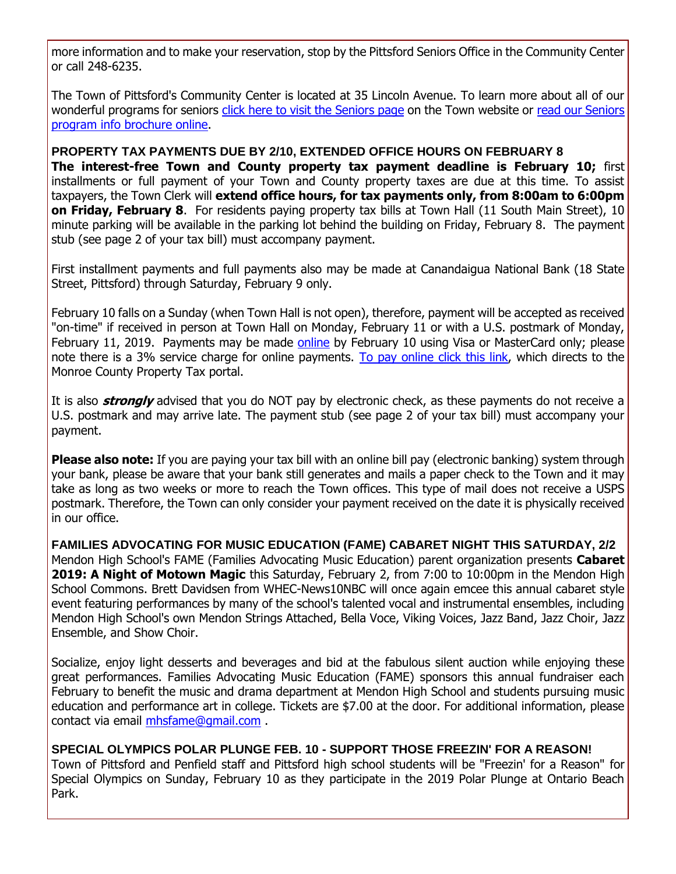more information and to make your reservation, stop by the Pittsford Seniors Office in the Community Center or call 248-6235.

The Town of Pittsford's Community Center is located at 35 Lincoln Avenue. To learn more about all of our wonderful programs for seniors [click here to visit the Seniors page](http://r20.rs6.net/tn.jsp?f=001zY6MyU1Pebu63HhS_eoYwLc8JB6F9MHYdKH1nL4U-g5twfiyhy6pHNqP_14493z9yIaayXIPfBWh2IPBpOT4F128cv25pOPtYhStDJlJsSoCNTYZ8ZnI7Mz0l_8dmh_XZvr11iCDWEM2jeiHqCasnyqRfW3GvkbwY_Fv9azFziebmnL7yK04buih7Y7XLwAk8Tt8vL6A8ZbZ5K8HfR5LsnhI0vJuqbuo_UGt2gMWHj65B0ywJ7T6xDjguNTITk-NUOvr4k8sFyEvS9WiFxKQwqCi7SbkTLVr11FQ309jDTIhFWpAhRsg6A==&c=uk_8dshUDyJbFG5jUD2Yf1W0qFe4vmmCDDK5hQgnQ72TEIPgJU4MYw==&ch=SE1EsnbNTOE-sysdP3B42qkHjWudvoqov-C5mp69ulw0CqUQ7ozvkg==) on the Town website or read our Seniors [program info brochure online.](http://r20.rs6.net/tn.jsp?f=001zY6MyU1Pebu63HhS_eoYwLc8JB6F9MHYdKH1nL4U-g5twfiyhy6pHEX_6LcazqG0A2vHRSKG3ppoFkneMRtV-hY46wEiORMknxkdtqf_mzDTT9BWBm1iAGVKf3tgUo3JmsR1akI-nZ-T8sv0tQDcM6RgEy66xv_4ifk27eqqddNSjdF-ZMyqXm4wv29wUYrNgvIchyeK7h5QkApbftU1mDg-niqxWAYedcTV7pwJIrdCFZVbgmY1a6X_PQywKc2nSzRmYuZ30ryrkcrp05tZV4lxidDg0jdS0cSmDgS6T3AtnqLnNCPd8-YM1lpWyC7Tj7nN9qfgrrDa_JSWD0_BuVgslahsPWUxQYbHuemXT-xoTNfMQ3pjSQ==&c=uk_8dshUDyJbFG5jUD2Yf1W0qFe4vmmCDDK5hQgnQ72TEIPgJU4MYw==&ch=SE1EsnbNTOE-sysdP3B42qkHjWudvoqov-C5mp69ulw0CqUQ7ozvkg==)

#### **PROPERTY TAX PAYMENTS DUE BY 2/10, EXTENDED OFFICE HOURS ON FEBRUARY 8**

**The interest-free Town and County property tax payment deadline is February 10;** first installments or full payment of your Town and County property taxes are due at this time. To assist taxpayers, the Town Clerk will **extend office hours, for tax payments only, from 8:00am to 6:00pm on Friday, February 8**. For residents paying property tax bills at Town Hall (11 South Main Street), 10 minute parking will be available in the parking lot behind the building on Friday, February 8. The payment stub (see page 2 of your tax bill) must accompany payment.

First installment payments and full payments also may be made at Canandaigua National Bank (18 State Street, Pittsford) through Saturday, February 9 only.

February 10 falls on a Sunday (when Town Hall is not open), therefore, payment will be accepted as received "on-time" if received in person at Town Hall on Monday, February 11 or with a U.S. postmark of Monday, February 11, 2019. Payments may be made [online](http://r20.rs6.net/tn.jsp?f=001zY6MyU1Pebu63HhS_eoYwLc8JB6F9MHYdKH1nL4U-g5twfiyhy6pHCozRq3OWbvSH4NZaIj9nPzV5nbYyLThkPUxBkARcB-O_REazteY10XwkbFGiAazmPuJFkSjJsg8EYWV8kY_zTGKdSVJV4BTTP_EJ5pBa-lbWhf8OloTO-FP__GxncRxraI5GO1DxSJFDOIixDHpTbcvBATNz6WVhg3xv7mVvipUY6TxXepEgS66g9y7dpDYxdTllOX8V8nsSRS_iAKoDBy-uI7ZlNUY6QowafTVjYJ82GD7ZLxxMAAZAac2h3Dbn2uMWxrTXBIQ&c=uk_8dshUDyJbFG5jUD2Yf1W0qFe4vmmCDDK5hQgnQ72TEIPgJU4MYw==&ch=SE1EsnbNTOE-sysdP3B42qkHjWudvoqov-C5mp69ulw0CqUQ7ozvkg==) by February 10 using Visa or MasterCard only; please note there is a 3% service charge for online payments. [To pay online click this link,](http://r20.rs6.net/tn.jsp?f=001zY6MyU1Pebu63HhS_eoYwLc8JB6F9MHYdKH1nL4U-g5twfiyhy6pHCozRq3OWbvSH4NZaIj9nPzV5nbYyLThkPUxBkARcB-O_REazteY10XwkbFGiAazmPuJFkSjJsg8EYWV8kY_zTGKdSVJV4BTTP_EJ5pBa-lbWhf8OloTO-FP__GxncRxraI5GO1DxSJFDOIixDHpTbcvBATNz6WVhg3xv7mVvipUY6TxXepEgS66g9y7dpDYxdTllOX8V8nsSRS_iAKoDBy-uI7ZlNUY6QowafTVjYJ82GD7ZLxxMAAZAac2h3Dbn2uMWxrTXBIQ&c=uk_8dshUDyJbFG5jUD2Yf1W0qFe4vmmCDDK5hQgnQ72TEIPgJU4MYw==&ch=SE1EsnbNTOE-sysdP3B42qkHjWudvoqov-C5mp69ulw0CqUQ7ozvkg==) which directs to the Monroe County Property Tax portal.

It is also **strongly** advised that you do NOT pay by electronic check, as these payments do not receive a U.S. postmark and may arrive late. The payment stub (see page 2 of your tax bill) must accompany your payment.

**Please also note:** If you are paying your tax bill with an online bill pay (electronic banking) system through your bank, please be aware that your bank still generates and mails a paper check to the Town and it may take as long as two weeks or more to reach the Town offices. This type of mail does not receive a USPS postmark. Therefore, the Town can only consider your payment received on the date it is physically received in our office.

**FAMILIES ADVOCATING FOR MUSIC EDUCATION (FAME) CABARET NIGHT THIS SATURDAY, 2/2** Mendon High School's FAME (Families Advocating Music Education) parent organization presents **Cabaret 2019: A Night of Motown Magic** this Saturday, February 2, from 7:00 to 10:00pm in the Mendon High School Commons. Brett Davidsen from WHEC-News10NBC will once again emcee this annual cabaret style event featuring performances by many of the school's talented vocal and instrumental ensembles, including Mendon High School's own Mendon Strings Attached, Bella Voce, Viking Voices, Jazz Band, Jazz Choir, Jazz Ensemble, and Show Choir.

Socialize, enjoy light desserts and beverages and bid at the fabulous silent auction while enjoying these great performances. Families Advocating Music Education (FAME) sponsors this annual fundraiser each February to benefit the music and drama department at Mendon High School and students pursuing music education and performance art in college. Tickets are \$7.00 at the door. For additional information, please contact via email **[mhsfame@gmail.com](mailto:mhsfame@gmail.com?subject=FAME%20Cabaret%20Night%202019)** .

**SPECIAL OLYMPICS POLAR PLUNGE FEB. 10 - SUPPORT THOSE FREEZIN' FOR A REASON!** Town of Pittsford and Penfield staff and Pittsford high school students will be "Freezin' for a Reason" for Special Olympics on Sunday, February 10 as they participate in the 2019 Polar Plunge at Ontario Beach Park.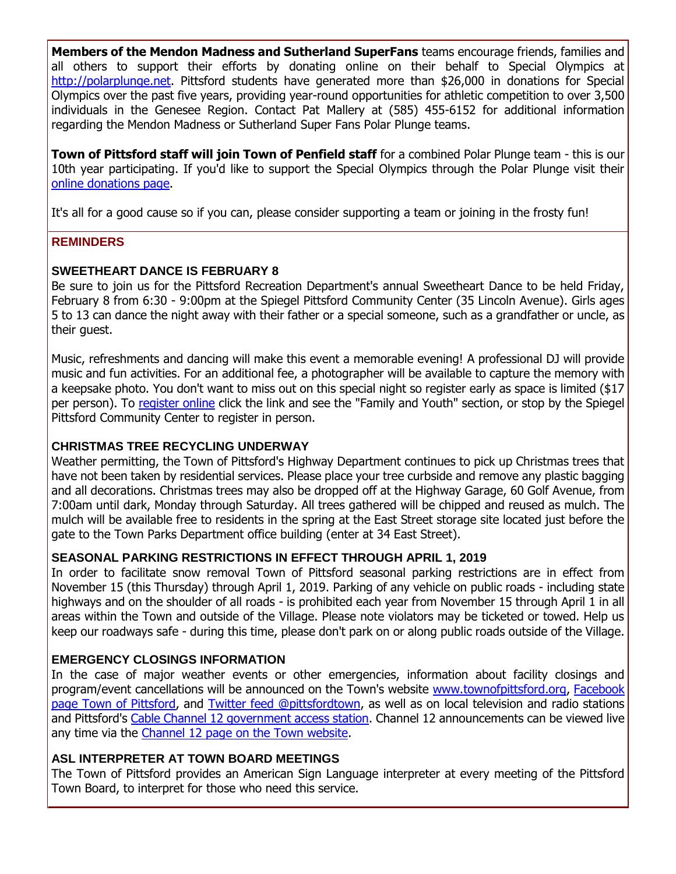**Members of the Mendon Madness and Sutherland SuperFans** teams encourage friends, families and all others to support their efforts by donating online on their behalf to Special Olympics at [http://polarplunge.net.](http://r20.rs6.net/tn.jsp?f=001zY6MyU1Pebu63HhS_eoYwLc8JB6F9MHYdKH1nL4U-g5twfiyhy6pHDYi4kKGzGuGPc8eg6FaHB5slqgDThYI220cVF1HeV5eLZU35XZJip4ez6QLWsO6Xhsc_i0j5V06k3UTSN2xQQsirwxF5bFXy9EGiH6V5aiAQqvf39Huf7bVafkX3HKj-X191h2C6CGlY4z951sDCbE9gDneMiD7-1yCYiPnyYBzz8Mw4BKuFvKPejH72yG7OcrUyq7t6WPRxIKk9bBkRdYFgpX0dFh-zRWDAs3rQdFD&c=uk_8dshUDyJbFG5jUD2Yf1W0qFe4vmmCDDK5hQgnQ72TEIPgJU4MYw==&ch=SE1EsnbNTOE-sysdP3B42qkHjWudvoqov-C5mp69ulw0CqUQ7ozvkg==) Pittsford students have generated more than \$26,000 in donations for Special Olympics over the past five years, providing year-round opportunities for athletic competition to over 3,500 individuals in the Genesee Region. Contact Pat Mallery at (585) 455-6152 for additional information regarding the Mendon Madness or Sutherland Super Fans Polar Plunge teams.

**Town of Pittsford staff will join Town of Penfield staff** for a combined Polar Plunge team - this is our 10th year participating. If you'd like to support the Special Olympics through the Polar Plunge visit their [online donations page.](http://r20.rs6.net/tn.jsp?f=001zY6MyU1Pebu63HhS_eoYwLc8JB6F9MHYdKH1nL4U-g5twfiyhy6pHL7szeCZT4b56DnS57s6-X_-tnvq406gqlgv6eWnO8I7xuMSxpcK6RMUO7Hj4qQo_eUCk7WoPufVzPlQHpyX75qtKDs5vAJ4J39yrsGWCzsDjibuTp4Cn3qKsTgIrYH_Qnzfgx5SVXB48aiX5pP8QpPTP6JfiK6M8O6I_gFd2BLoDha4hukz3CBX-Ig_FLWvC_3ULXcaaaL2l9oSbQbqq6oni6F65Iuynfz5ZEpcYOfggxiiYLcaH5gueN27mqu5gGpLLtRbHzWwxMg30XcC5jKhKZmAiOj8CA==&c=uk_8dshUDyJbFG5jUD2Yf1W0qFe4vmmCDDK5hQgnQ72TEIPgJU4MYw==&ch=SE1EsnbNTOE-sysdP3B42qkHjWudvoqov-C5mp69ulw0CqUQ7ozvkg==)

It's all for a good cause so if you can, please consider supporting a team or joining in the frosty fun!

#### **REMINDERS**

#### **SWEETHEART DANCE IS FEBRUARY 8**

Be sure to join us for the Pittsford Recreation Department's annual Sweetheart Dance to be held Friday, February 8 from 6:30 - 9:00pm at the Spiegel Pittsford Community Center (35 Lincoln Avenue). Girls ages 5 to 13 can dance the night away with their father or a special someone, such as a grandfather or uncle, as their guest.

Music, refreshments and dancing will make this event a memorable evening! A professional DJ will provide music and fun activities. For an additional fee, a photographer will be available to capture the memory with a keepsake photo. You don't want to miss out on this special night so register early as space is limited (\$17 per person). To [register online](http://r20.rs6.net/tn.jsp?f=001zY6MyU1Pebu63HhS_eoYwLc8JB6F9MHYdKH1nL4U-g5twfiyhy6pHK0PZrDNP9bdddrVJit-PfkiniPju0tKZZzJabzZxIhsM8lYFmYg-SO42V0BvoyUYSXLzETaZtVSU3OyY8apu1iqCUbAEvkXb-bwzDqshR7cUtM0cDXmGF2DEwJUKqzSuKed_UQIppeLyM796EeqljgQQjUfPYT9-NrbvLLLOKpUUDlHJGBULEmOHjGWYOy4It4xB7s_xX2GnSsh4YLwV9p_hbFLxZsCOUGIXbMaqjhVPqi47DJ3wl22qTWwTEAgYwnrggOZh_qbTM9JTVKWd005tDQBBPpxZdOZTatiH5aJ&c=uk_8dshUDyJbFG5jUD2Yf1W0qFe4vmmCDDK5hQgnQ72TEIPgJU4MYw==&ch=SE1EsnbNTOE-sysdP3B42qkHjWudvoqov-C5mp69ulw0CqUQ7ozvkg==) click the link and see the "Family and Youth" section, or stop by the Spiegel Pittsford Community Center to register in person.

#### **CHRISTMAS TREE RECYCLING UNDERWAY**

Weather permitting, the Town of Pittsford's Highway Department continues to pick up Christmas trees that have not been taken by residential services. Please place your tree curbside and remove any plastic bagging and all decorations. Christmas trees may also be dropped off at the Highway Garage, 60 Golf Avenue, from 7:00am until dark, Monday through Saturday. All trees gathered will be chipped and reused as mulch. The mulch will be available free to residents in the spring at the East Street storage site located just before the gate to the Town Parks Department office building (enter at 34 East Street).

#### **SEASONAL PARKING RESTRICTIONS IN EFFECT THROUGH APRIL 1, 2019**

In order to facilitate snow removal Town of Pittsford seasonal parking restrictions are in effect from November 15 (this Thursday) through April 1, 2019. Parking of any vehicle on public roads - including state highways and on the shoulder of all roads - is prohibited each year from November 15 through April 1 in all areas within the Town and outside of the Village. Please note violators may be ticketed or towed. Help us keep our roadways safe - during this time, please don't park on or along public roads outside of the Village.

#### **EMERGENCY CLOSINGS INFORMATION**

In the case of major weather events or other emergencies, information about facility closings and program/event cancellations will be announced on the Town's website [www.townofpittsford.org,](http://townofpittsford.org/?utm_source=eNews+1-30-19&utm_campaign=eNews+01-30-19&utm_medium=email) [Facebook](https://www.facebook.com/pages/Town-of-Pittsford/139082619464200)  [page Town of Pittsford,](https://www.facebook.com/pages/Town-of-Pittsford/139082619464200) and [Twitter feed @pittsfordtown,](http://r20.rs6.net/tn.jsp?f=001zY6MyU1Pebu63HhS_eoYwLc8JB6F9MHYdKH1nL4U-g5twfiyhy6pHGlT77KR-sfUivwN3rNpJR9Ni6po1uGdLLv45zm41SKLPNEIQKcjtyc68T2K88OO91GkqJnYC5h0anSd0finm-KsxfQ7xsFrHke_eXvV2CBba6Wn4Cb8L0YBrnj5Tqz8aQ==&c=uk_8dshUDyJbFG5jUD2Yf1W0qFe4vmmCDDK5hQgnQ72TEIPgJU4MYw==&ch=SE1EsnbNTOE-sysdP3B42qkHjWudvoqov-C5mp69ulw0CqUQ7ozvkg==) as well as on local television and radio stations and Pittsford's [Cable Channel 12 government access station.](http://townofpittsford.org/home-channel12?utm_source=eNews+1-30-19&utm_campaign=eNews+01-30-19&utm_medium=email) Channel 12 announcements can be viewed live any time via the [Channel 12 page on the Town website.](http://townofpittsford.org/home-channel12?utm_source=eNews+1-30-19&utm_campaign=eNews+01-30-19&utm_medium=email)

#### **ASL INTERPRETER AT TOWN BOARD MEETINGS**

The Town of Pittsford provides an American Sign Language interpreter at every meeting of the Pittsford Town Board, to interpret for those who need this service.